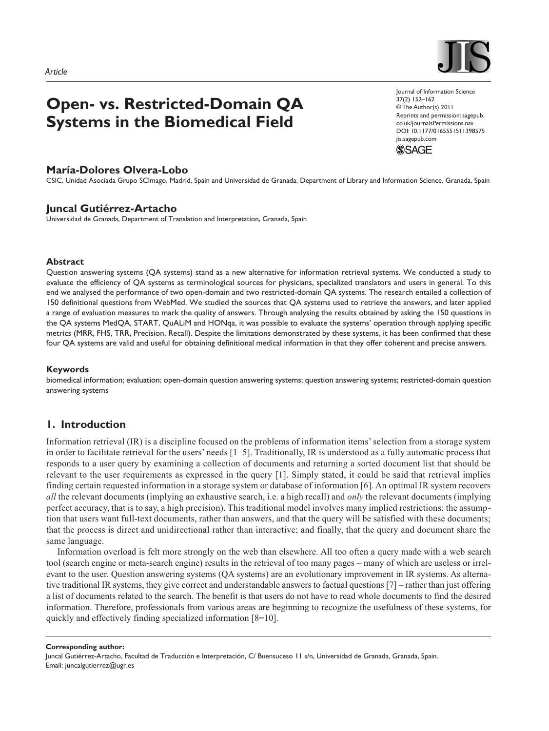#### *Article*

# **Open- vs. Restricted-Domain QA Systems in the Biomedical Field**

### **María-Dolores Olvera-Lobo**

CSIC, Unidad Asociada Grupo SCImago, Madrid, Spain and Universidad de Granada, Department of Library and Information Science, Granada, Spain

### **Juncal Gutiérrez-Artacho**

Universidad de Granada, Department of Translation and Interpretation, Granada, Spain

#### **Abstract**

Question answering systems (QA systems) stand as a new alternative for information retrieval systems. We conducted a study to evaluate the efficiency of QA systems as terminological sources for physicians, specialized translators and users in general. To this end we analysed the performance of two open-domain and two restricted-domain QA systems. The research entailed a collection of 150 definitional questions from WebMed. We studied the sources that QA systems used to retrieve the answers, and later applied a range of evaluation measures to mark the quality of answers. Through analysing the results obtained by asking the 150 questions in the QA systems MedQA, START, QuALiM and HONqa, it was possible to evaluate the systems' operation through applying specific metrics (MRR, FHS, TRR, Precision, Recall). Despite the limitations demonstrated by these systems, it has been confirmed that these four QA systems are valid and useful for obtaining definitional medical information in that they offer coherent and precise answers.

#### **Keywords**

biomedical information; evaluation; open-domain question answering systems; question answering systems; restricted-domain question answering systems

# **1. Introduction**

Information retrieval (IR) is a discipline focused on the problems of information items' selection from a storage system in order to facilitate retrieval for the users' needs [1–5]. Traditionally, IR is understood as a fully automatic process that responds to a user query by examining a collection of documents and returning a sorted document list that should be relevant to the user requirements as expressed in the query [1]. Simply stated, it could be said that retrieval implies finding certain requested information in a storage system or database of information [6]. An optimal IR system recovers *all* the relevant documents (implying an exhaustive search, i.e. a high recall) and *only* the relevant documents (implying perfect accuracy, that is to say, a high precision). This traditional model involves many implied restrictions: the assumption that users want full-text documents, rather than answers, and that the query will be satisfied with these documents; that the process is direct and unidirectional rather than interactive; and finally, that the query and document share the same language.

Information overload is felt more strongly on the web than elsewhere. All too often a query made with a web search tool (search engine or meta-search engine) results in the retrieval of too many pages – many of which are useless or irrelevant to the user. Question answering systems (QA systems) are an evolutionary improvement in IR systems. As alternative traditional IR systems, they give correct and understandable answers to factual questions [7] – rather than just offering a list of documents related to the search. The benefit is that users do not have to read whole documents to find the desired information. Therefore, professionals from various areas are beginning to recognize the usefulness of these systems, for quickly and effectively finding specialized information [8–10].

**Corresponding author:**

Juncal Gutiérrez-Artacho, Facultad de Traducción e Interpretación, C/ Buensuceso 11 s/n, Universidad de Granada, Granada, Spain. Email: juncalgutierrez@ugr.es



Journal of Information Science 37(2) 152–162 © The Author(s) 2011 Reprints and permission: sagepub. co.uk/journalsPermissions.nav DOI: 10.1177/0165551511398575 jis.sagepub.com

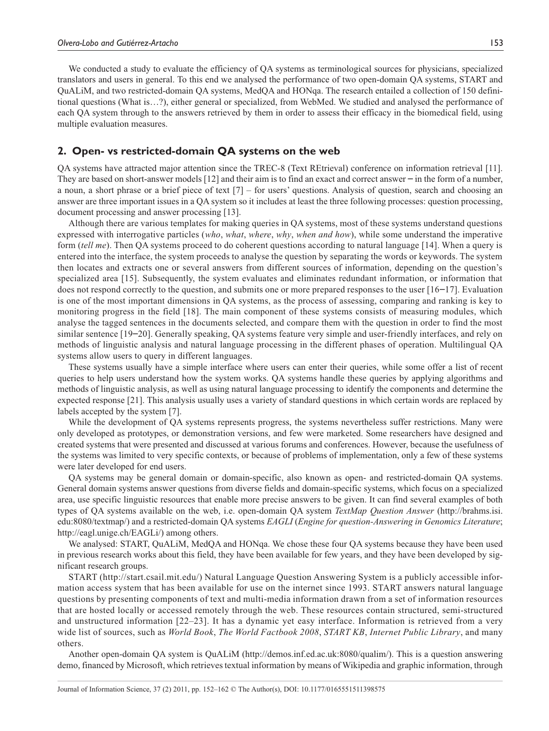We conducted a study to evaluate the efficiency of QA systems as terminological sources for physicians, specialized translators and users in general. To this end we analysed the performance of two open-domain QA systems, START and QuALiM, and two restricted-domain QA systems, MedQA and HONqa. The research entailed a collection of 150 definitional questions (What is…?), either general or specialized, from WebMed. We studied and analysed the performance of each QA system through to the answers retrieved by them in order to assess their efficacy in the biomedical field, using multiple evaluation measures.

# **2. Open- vs restricted-domain QA systems on the web**

QA systems have attracted major attention since the TREC-8 (Text REtrieval) conference on information retrieval [11]. They are based on short-answer models [12] and their aim is to find an exact and correct answer – in the form of a number, a noun, a short phrase or a brief piece of text [7] – for users' questions. Analysis of question, search and choosing an answer are three important issues in a QA system so it includes at least the three following processes: question processing, document processing and answer processing [13].

Although there are various templates for making queries in QA systems, most of these systems understand questions expressed with interrogative particles (*who*, *what*, *where*, *why*, *when and how*), while some understand the imperative form (*tell me*). Then QA systems proceed to do coherent questions according to natural language [14]. When a query is entered into the interface, the system proceeds to analyse the question by separating the words or keywords. The system then locates and extracts one or several answers from different sources of information, depending on the question's specialized area [15]. Subsequently, the system evaluates and eliminates redundant information, or information that does not respond correctly to the question, and submits one or more prepared responses to the user [16–17]. Evaluation is one of the most important dimensions in QA systems, as the process of assessing, comparing and ranking is key to monitoring progress in the field [18]. The main component of these systems consists of measuring modules, which analyse the tagged sentences in the documents selected, and compare them with the question in order to find the most similar sentence [19–20]. Generally speaking, QA systems feature very simple and user-friendly interfaces, and rely on methods of linguistic analysis and natural language processing in the different phases of operation. Multilingual QA systems allow users to query in different languages.

These systems usually have a simple interface where users can enter their queries, while some offer a list of recent queries to help users understand how the system works. QA systems handle these queries by applying algorithms and methods of linguistic analysis, as well as using natural language processing to identify the components and determine the expected response [21]. This analysis usually uses a variety of standard questions in which certain words are replaced by labels accepted by the system [7].

While the development of QA systems represents progress, the systems nevertheless suffer restrictions. Many were only developed as prototypes, or demonstration versions, and few were marketed. Some researchers have designed and created systems that were presented and discussed at various forums and conferences. However, because the usefulness of the systems was limited to very specific contexts, or because of problems of implementation, only a few of these systems were later developed for end users.

QA systems may be general domain or domain-specific, also known as open- and restricted-domain QA systems. General domain systems answer questions from diverse fields and domain-specific systems, which focus on a specialized area, use specific linguistic resources that enable more precise answers to be given. It can find several examples of both types of QA systems available on the web, i.e. open-domain QA system *TextMap Question Answer* (http://brahms.isi. edu:8080/textmap/) and a restricted-domain QA systems *EAGLI* (*Engine for question-Answering in Genomics Literature*; http://eagl.unige.ch/EAGLi/) among others.

We analysed: START, QuALiM, MedQA and HONqa. We chose these four QA systems because they have been used in previous research works about this field, they have been available for few years, and they have been developed by significant research groups.

START (http://start.csail.mit.edu/) Natural Language Question Answering System is a publicly accessible information access system that has been available for use on the internet since 1993. START answers natural language questions by presenting components of text and multi-media information drawn from a set of information resources that are hosted locally or accessed remotely through the web. These resources contain structured, semi-structured and unstructured information [22–23]. It has a dynamic yet easy interface. Information is retrieved from a very wide list of sources, such as *World Book*, *The World Factbook 2008*, *START KB*, *Internet Public Library*, and many others.

Another open-domain QA system is QuALiM (http://demos.inf.ed.ac.uk:8080/qualim/). This is a question answering demo, financed by Microsoft, which retrieves textual information by means of Wikipedia and graphic information, through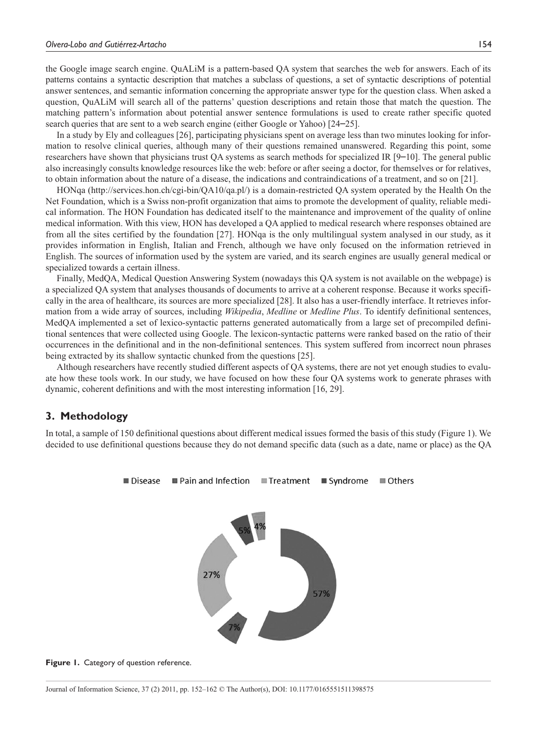the Google image search engine. QuALiM is a pattern-based QA system that searches the web for answers. Each of its patterns contains a syntactic description that matches a subclass of questions, a set of syntactic descriptions of potential answer sentences, and semantic information concerning the appropriate answer type for the question class. When asked a question, QuALiM will search all of the patterns' question descriptions and retain those that match the question. The matching pattern's information about potential answer sentence formulations is used to create rather specific quoted search queries that are sent to a web search engine (either Google or Yahoo) [24–25].

In a study by Ely and colleagues [26], participating physicians spent on average less than two minutes looking for information to resolve clinical queries, although many of their questions remained unanswered. Regarding this point, some researchers have shown that physicians trust QA systems as search methods for specialized IR [9–10]. The general public also increasingly consults knowledge resources like the web: before or after seeing a doctor, for themselves or for relatives, to obtain information about the nature of a disease, the indications and contraindications of a treatment, and so on [21].

HONqa (http://services.hon.ch/cgi-bin/QA10/qa.pl/) is a domain-restricted QA system operated by the Health On the Net Foundation, which is a Swiss non-profit organization that aims to promote the development of quality, reliable medical information. The HON Foundation has dedicated itself to the maintenance and improvement of the quality of online medical information. With this view, HON has developed a QA applied to medical research where responses obtained are from all the sites certified by the foundation [27]. HONqa is the only multilingual system analysed in our study, as it provides information in English, Italian and French, although we have only focused on the information retrieved in English. The sources of information used by the system are varied, and its search engines are usually general medical or specialized towards a certain illness.

Finally, MedQA, Medical Question Answering System (nowadays this QA system is not available on the webpage) is a specialized QA system that analyses thousands of documents to arrive at a coherent response. Because it works specifically in the area of healthcare, its sources are more specialized [28]. It also has a user-friendly interface. It retrieves information from a wide array of sources, including *Wikipedia*, *Medline* or *Medline Plus*. To identify definitional sentences, MedQA implemented a set of lexico-syntactic patterns generated automatically from a large set of precompiled definitional sentences that were collected using Google. The lexicon-syntactic patterns were ranked based on the ratio of their occurrences in the definitional and in the non-definitional sentences. This system suffered from incorrect noun phrases being extracted by its shallow syntactic chunked from the questions [25].

Although researchers have recently studied different aspects of QA systems, there are not yet enough studies to evaluate how these tools work. In our study, we have focused on how these four QA systems work to generate phrases with dynamic, coherent definitions and with the most interesting information [16, 29].

## **3. Methodology**

In total, a sample of 150 definitional questions about different medical issues formed the basis of this study (Figure 1). We decided to use definitional questions because they do not demand specific data (such as a date, name or place) as the QA



**Figure 1.** Category of question reference.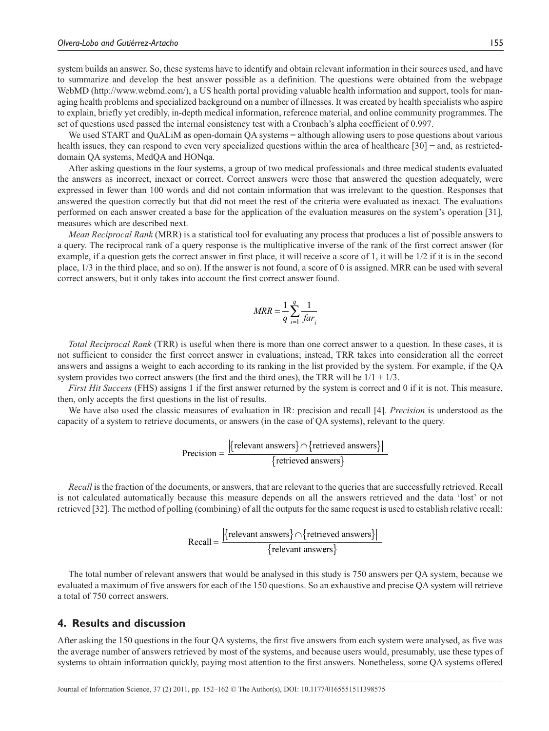system builds an answer. So, these systems have to identify and obtain relevant information in their sources used, and have to summarize and develop the best answer possible as a definition. The questions were obtained from the webpage WebMD (http://www.webmd.com/), a US health portal providing valuable health information and support, tools for managing health problems and specialized background on a number of illnesses. It was created by health specialists who aspire to explain, briefly yet credibly, in-depth medical information, reference material, and online community programmes. The set of questions used passed the internal consistency test with a Cronbach's alpha coefficient of 0.997.

We used START and QuALiM as open-domain QA systems – although allowing users to pose questions about various health issues, they can respond to even very specialized questions within the area of healthcare [30] – and, as restricteddomain QA systems, MedQA and HONqa.

After asking questions in the four systems, a group of two medical professionals and three medical students evaluated the answers as incorrect, inexact or correct. Correct answers were those that answered the question adequately, were expressed in fewer than 100 words and did not contain information that was irrelevant to the question. Responses that answered the question correctly but that did not meet the rest of the criteria were evaluated as inexact. The evaluations performed on each answer created a base for the application of the evaluation measures on the system's operation [31], measures which are described next.

*Mean Reciprocal Rank* (MRR) is a statistical tool for evaluating any process that produces a list of possible answers to a query. The reciprocal rank of a query response is the multiplicative inverse of the rank of the first correct answer (for example, if a question gets the correct answer in first place, it will receive a score of 1, it will be 1/2 if it is in the second place, 1/3 in the third place, and so on). If the answer is not found, a score of 0 is assigned. MRR can be used with several correct answers, but it only takes into account the first correct answer found.

$$
MRR = \frac{1}{q} \sum_{i=1}^{q} \frac{1}{far_i}
$$

*Total Reciprocal Rank* (TRR) is useful when there is more than one correct answer to a question. In these cases, it is not sufficient to consider the first correct answer in evaluations; instead, TRR takes into consideration all the correct answers and assigns a weight to each according to its ranking in the list provided by the system. For example, if the QA system provides two correct answers (the first and the third ones), the TRR will be  $1/1 + 1/3$ .

*First Hit Success* (FHS) assigns 1 if the first answer returned by the system is correct and 0 if it is not. This measure, then, only accepts the first questions in the list of results.

We have also used the classic measures of evaluation in IR: precision and recall [4]. *Precision* is understood as the capacity of a system to retrieve documents, or answers (in the case of QA systems), relevant to the query.

$$
Precision = \frac{\left| \{relevant\ answers\} \cap \{retrieved\ answers\} \right|}{\left\{retrieved\ answers\right\}}
$$

*Recall* is the fraction of the documents, or answers, that are relevant to the queries that are successfully retrieved. Recall is not calculated automatically because this measure depends on all the answers retrieved and the data 'lost' or not retrieved [32]. The method of polling (combining) of all the outputs for the same request is used to establish relative recall:

$$
Recall = \frac{\left\{ \text{relevant answers} \right\} \cap \left\{ \text{retrieved answers} \right\}}{\left\{ \text{relevant answers} \right\}}
$$

The total number of relevant answers that would be analysed in this study is 750 answers per QA system, because we evaluated a maximum of five answers for each of the 150 questions. So an exhaustive and precise QA system will retrieve a total of 750 correct answers.

#### **4. Results and discussion**

After asking the 150 questions in the four QA systems, the first five answers from each system were analysed, as five was the average number of answers retrieved by most of the systems, and because users would, presumably, use these types of systems to obtain information quickly, paying most attention to the first answers. Nonetheless, some QA systems offered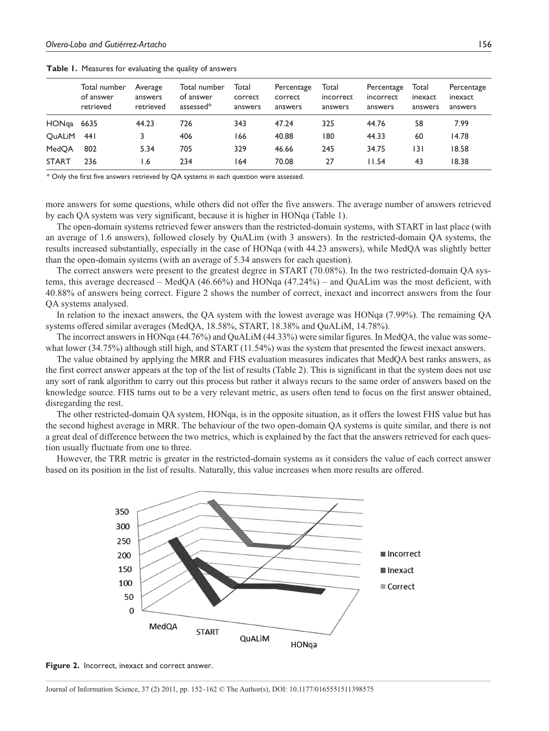|               | Total number<br>of answer<br>retrieved | Average<br>answers<br>retrieved | Total number<br>of answer<br>assessed <sup>*</sup> | Total<br>correct<br>answers | Percentage<br>correct<br>answers | Total<br>incorrect<br>answers | Percentage<br>incorrect<br>answers | Total<br>inexact<br>answers | Percentage<br>inexact<br>answers |
|---------------|----------------------------------------|---------------------------------|----------------------------------------------------|-----------------------------|----------------------------------|-------------------------------|------------------------------------|-----------------------------|----------------------------------|
| $HONq$ a 6635 |                                        | 44.23                           | 726                                                | 343                         | 47.24                            | 325                           | 44.76                              | 58                          | 7.99                             |
| <b>OuALIM</b> | 44 I                                   |                                 | 406                                                | 166                         | 40.88                            | 180                           | 44.33                              | 60                          | 14.78                            |
| MedOA         | 802                                    | 5.34                            | 705                                                | 329                         | 46.66                            | 245                           | 34.75                              | 3                           | 18.58                            |
| <b>START</b>  | 236                                    | l.6                             | 234                                                | 164                         | 70.08                            | 27                            | I I.54                             | 43                          | 18.38                            |

**Table 1.** Measures for evaluating the quality of answers

*\** Only the first five answers retrieved by QA systems in each question were assessed.

more answers for some questions, while others did not offer the five answers. The average number of answers retrieved by each QA system was very significant, because it is higher in HONqa (Table 1).

The open-domain systems retrieved fewer answers than the restricted-domain systems, with START in last place (with an average of 1.6 answers), followed closely by QuALim (with 3 answers). In the restricted-domain QA systems, the results increased substantially, especially in the case of HONqa (with 44.23 answers), while MedQA was slightly better than the open-domain systems (with an average of 5.34 answers for each question).

The correct answers were present to the greatest degree in START (70.08%). In the two restricted-domain QA systems, this average decreased – MedQA (46.66%) and HONqa (47.24%) – and QuALim was the most deficient, with 40.88% of answers being correct. Figure 2 shows the number of correct, inexact and incorrect answers from the four QA systems analysed.

In relation to the inexact answers, the QA system with the lowest average was HONqa (7.99%). The remaining QA systems offered similar averages (MedQA, 18.58%, START, 18.38% and QuALiM, 14.78%).

The incorrect answers in HONqa (44.76%) and QuALiM (44.33%) were similar figures. In MedQA, the value was somewhat lower (34.75%) although still high, and START (11.54%) was the system that presented the fewest inexact answers.

The value obtained by applying the MRR and FHS evaluation measures indicates that MedQA best ranks answers, as the first correct answer appears at the top of the list of results (Table 2). This is significant in that the system does not use any sort of rank algorithm to carry out this process but rather it always recurs to the same order of answers based on the knowledge source. FHS turns out to be a very relevant metric, as users often tend to focus on the first answer obtained, disregarding the rest.

The other restricted-domain QA system, HONqa, is in the opposite situation, as it offers the lowest FHS value but has the second highest average in MRR. The behaviour of the two open-domain QA systems is quite similar, and there is not a great deal of difference between the two metrics, which is explained by the fact that the answers retrieved for each question usually fluctuate from one to three.

However, the TRR metric is greater in the restricted-domain systems as it considers the value of each correct answer based on its position in the list of results. Naturally, this value increases when more results are offered.



**Figure 2.** Incorrect, inexact and correct answer.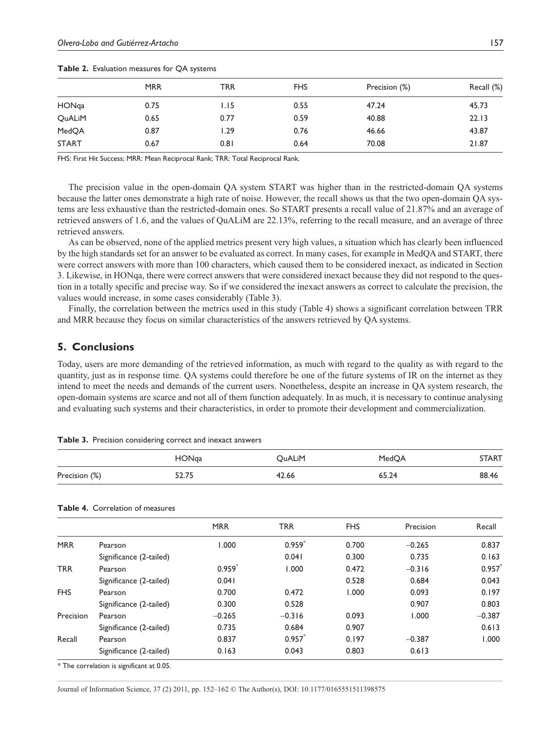|              | <b>MRR</b> | <b>TRR</b> | <b>FHS</b> | Precision (%) | Recall (%) |
|--------------|------------|------------|------------|---------------|------------|
| <b>HONga</b> | 0.75       | I.I5       | 0.55       | 47.24         | 45.73      |
| QuALiM       | 0.65       | 0.77       | 0.59       | 40.88         | 22.13      |
| MedQA        | 0.87       | 1.29       | 0.76       | 46.66         | 43.87      |
| <b>START</b> | 0.67       | 0.81       | 0.64       | 70.08         | 21.87      |

**Table 2.** Evaluation measures for QA systems

FHS: First Hit Success; MRR: Mean Reciprocal Rank; TRR: Total Reciprocal Rank.

The precision value in the open-domain QA system START was higher than in the restricted-domain QA systems because the latter ones demonstrate a high rate of noise. However, the recall shows us that the two open-domain QA systems are less exhaustive than the restricted-domain ones. So START presents a recall value of 21.87% and an average of retrieved answers of 1.6, and the values of QuALiM are 22.13%, referring to the recall measure, and an average of three retrieved answers.

As can be observed, none of the applied metrics present very high values, a situation which has clearly been influenced by the high standards set for an answer to be evaluated as correct. In many cases, for example in MedQA and START, there were correct answers with more than 100 characters, which caused them to be considered inexact, as indicated in Section 3. Likewise, in HONqa, there were correct answers that were considered inexact because they did not respond to the question in a totally specific and precise way. So if we considered the inexact answers as correct to calculate the precision, the values would increase, in some cases considerably (Table 3).

Finally, the correlation between the metrics used in this study (Table 4) shows a significant correlation between TRR and MRR because they focus on similar characteristics of the answers retrieved by QA systems.

# **5. Conclusions**

Today, users are more demanding of the retrieved information, as much with regard to the quality as with regard to the quantity, just as in response time. QA systems could therefore be one of the future systems of IR on the internet as they intend to meet the needs and demands of the current users. Nonetheless, despite an increase in QA system research, the open-domain systems are scarce and not all of them function adequately. In as much, it is necessary to continue analysing and evaluating such systems and their characteristics, in order to promote their development and commercialization.

|               | <b>HONga</b> | <b>OuALiM</b> | MedOA | <b>START</b> |
|---------------|--------------|---------------|-------|--------------|
| Precision (%) | 52.75        | 42.66         | 65.24 | 88.46        |

**Table 3.** Precision considering correct and inexact answers

# **Table 4.** Correlation of measures

|            |                                            | <b>MRR</b> | <b>TRR</b> | <b>FHS</b> | Precision | Recall   |
|------------|--------------------------------------------|------------|------------|------------|-----------|----------|
| <b>MRR</b> | Pearson                                    | 1.000      | $0.959*$   | 0.700      | $-0.265$  | 0.837    |
|            | Significance (2-tailed)                    |            | 0.041      | 0.300      | 0.735     | 0.163    |
| <b>TRR</b> | Pearson                                    | $0.959*$   | .000       | 0.472      | $-0.316$  | 0.957    |
|            | Significance (2-tailed)                    | 0.041      |            | 0.528      | 0.684     | 0.043    |
| <b>FHS</b> | Pearson                                    | 0.700      | 0.472      | 1.000      | 0.093     | 0.197    |
|            | Significance (2-tailed)                    | 0.300      | 0.528      |            | 0.907     | 0.803    |
| Precision  | Pearson                                    | $-0.265$   | $-0.316$   | 0.093      | 1.000     | $-0.387$ |
|            | Significance (2-tailed)                    | 0.735      | 0.684      | 0.907      |           | 0.613    |
| Recall     | Pearson                                    | 0.837      | 0.957      | 0.197      | $-0.387$  | 1.000    |
|            | Significance (2-tailed)                    | 0.163      | 0.043      | 0.803      | 0.613     |          |
|            | $*$ The correlation is significant at 0.05 |            |            |            |           |          |

*\** The correlation is significant at 0.05.

Journal of Information Science, 37 (2) 2011, pp. 152–162 © The Author(s), DOI: 10.1177/0165551511398575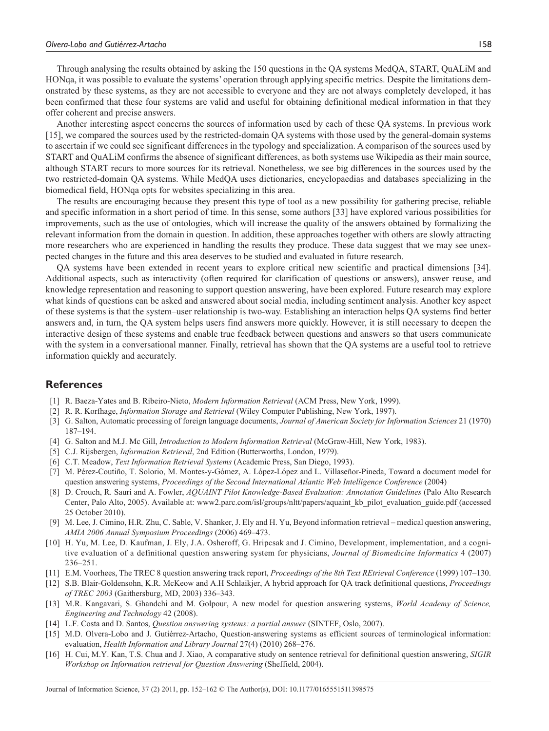Through analysing the results obtained by asking the 150 questions in the QA systems MedQA, START, QuALiM and HONqa, it was possible to evaluate the systems' operation through applying specific metrics. Despite the limitations demonstrated by these systems, as they are not accessible to everyone and they are not always completely developed, it has been confirmed that these four systems are valid and useful for obtaining definitional medical information in that they offer coherent and precise answers.

Another interesting aspect concerns the sources of information used by each of these QA systems. In previous work [15], we compared the sources used by the restricted-domain QA systems with those used by the general-domain systems to ascertain if we could see significant differences in the typology and specialization. A comparison of the sources used by START and QuALiM confirms the absence of significant differences, as both systems use Wikipedia as their main source, although START recurs to more sources for its retrieval. Nonetheless, we see big differences in the sources used by the two restricted-domain QA systems. While MedQA uses dictionaries, encyclopaedias and databases specializing in the biomedical field, HONqa opts for websites specializing in this area.

The results are encouraging because they present this type of tool as a new possibility for gathering precise, reliable and specific information in a short period of time. In this sense, some authors [33] have explored various possibilities for improvements, such as the use of ontologies, which will increase the quality of the answers obtained by formalizing the relevant information from the domain in question. In addition, these approaches together with others are slowly attracting more researchers who are experienced in handling the results they produce. These data suggest that we may see unexpected changes in the future and this area deserves to be studied and evaluated in future research.

QA systems have been extended in recent years to explore critical new scientific and practical dimensions [34]. Additional aspects, such as interactivity (often required for clarification of questions or answers), answer reuse, and knowledge representation and reasoning to support question answering, have been explored. Future research may explore what kinds of questions can be asked and answered about social media, including sentiment analysis. Another key aspect of these systems is that the system–user relationship is two-way. Establishing an interaction helps QA systems find better answers and, in turn, the QA system helps users find answers more quickly. However, it is still necessary to deepen the interactive design of these systems and enable true feedback between questions and answers so that users communicate with the system in a conversational manner. Finally, retrieval has shown that the QA systems are a useful tool to retrieve information quickly and accurately.

## **References**

- [1] R. Baeza-Yates and B. Ribeiro-Nieto, *Modern Information Retrieval* (ACM Press, New York, 1999).
- [2] R. R. Korfhage, *Information Storage and Retrieval* (Wiley Computer Publishing, New York, 1997).
- [3] G. Salton, Automatic processing of foreign language documents, *Journal of American Society for Information Sciences* 21 (1970) 187–194.
- [4] G. Salton and M.J. Mc Gill, *Introduction to Modern Information Retrieval* (McGraw-Hill, New York, 1983).
- [5] C.J. Rijsbergen, *Information Retrieval*, 2nd Edition (Butterworths, London, 1979).
- [6] C.T. Meadow, *Text Information Retrieval Systems* (Academic Press, San Diego, 1993).
- [7] M. Pérez-Coutiño, T. Solorio, M. Montes-y-Gómez, A. López-López and L. Villaseñor-Pineda, Toward a document model for question answering systems, *Proceedings of the Second International Atlantic Web Intelligence Conference* (2004)
- [8] D. Crouch, R. Saurí and A. Fowler, *AQUAINT Pilot Knowledge-Based Evaluation: Annotation Guidelines* (Palo Alto Research Center, Palo Alto, 2005). Available at: www2.parc.com/isl/groups/nltt/papers/aquaint\_kb\_pilot\_evaluation\_guide.pdf (accessed 25 October 2010).
- [9] M. Lee, J. Cimino, H.R. Zhu, C. Sable, V. Shanker, J. Ely and H. Yu, Beyond information retrieval medical question answering, *AMIA 2006 Annual Symposium Proceedings* (2006) 469–473.
- [10] H. Yu, M. Lee, D. Kaufman, J. Ely, J.A. Osheroff, G. Hripcsak and J. Cimino, Development, implementation, and a cognitive evaluation of a definitional question answering system for physicians, *Journal of Biomedicine Informatics* 4 (2007) 236–251.
- [11] E.M. Voorhees, The TREC 8 question answering track report, *Proceedings of the 8th Text REtrieval Conference* (1999) 107–130.
- [12] S.B. Blair-Goldensohn, K.R. McKeow and A.H Schlaikjer, A hybrid approach for QA track definitional questions, *Proceedings of TREC 2003* (Gaithersburg, MD, 2003) 336–343.
- [13] M.R. Kangavari, S. Ghandchi and M. Golpour, A new model for question answering systems, *World Academy of Science, Engineering and Technology* 42 (2008).
- [14] L.F. Costa and D. Santos, *Question answering systems: a partial answer* (SINTEF, Oslo, 2007).
- [15] M.D. Olvera-Lobo and J. Gutiérrez-Artacho, Question-answering systems as efficient sources of terminological information: evaluation, *Health Information and Library Journal* 27(4) (2010) 268–276.
- [16] H. Cui, M.Y. Kan, T.S. Chua and J. Xiao, A comparative study on sentence retrieval for definitional question answering, *SIGIR Workshop on Information retrieval for Question Answering* (Sheffield, 2004).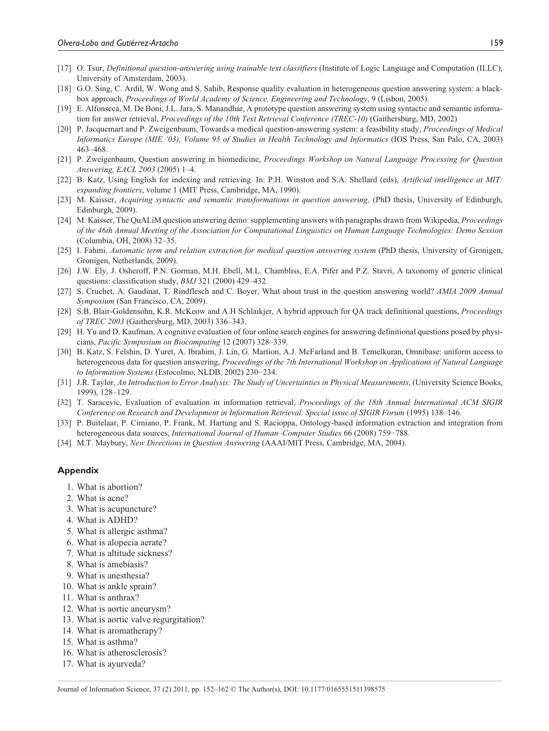- [17] O. Tsur, *Definitional question-answering using trainable text classifiers* (Institute of Logic Language and Computation (ILLC), University of Amsterdam, 2003).
- [18] G.O. Sing, C. Ardil, W. Wong and S. Sahib, Response quality evaluation in heterogeneous question answering system: a blackbox approach, *Proceedings of World Academy of Science, Engineering and Technology*, 9 (Lisbon, 2005).
- [19] E. Alfonseca, M. De Boni, J.L. Jara, S. Manandhar, A prototype question answering system using syntactic and semantic information for answer retrieval, *Proceedings of the 10th Text Retrieval Conference (TREC-10)* (Gaithersburg, MD, 2002)
- [20] P. Jacquemart and P. Zweigenbaum, Towards a medical question-answering system: a feasibility study, *Proceedings of Medical Informatics Europe (MIE '03), Volume 95 of Studies in Health Technology and Informatics* (IOS Press, San Palo, CA, 2003) 463–468.
- [21] P. Zweigenbaum, Question answering in biomedicine, *Proceedings Workshop on Natural Language Processing for Question Answering, EACL 2003* (2005) 1–4.
- [22] B. Katz, Using English for indexing and retrieving. In: P.H. Winston and S.A. Shellard (eds), *Artificial intelligence at MIT: expanding frontiers*, volume 1 (MIT Press, Cambridge, MA, 1990).
- [23] M. Kaisser, *Acquiring syntactic and semantic transformations in question answering*, (PhD thesis, University of Edinburgh, Edinburgh, 2009).
- [24] M. Kaisser, The QuALiM question answering demo: supplementing answers with paragraphs drawn from Wikipedia, *Proceedings of the 46th Annual Meeting of the Association for Computational Linguistics on Human Language Technologies: Demo Session* (Columbia, OH, 2008) 32–35.
- [25] I. Fahmi. *Automatic term and relation extraction for medical question answering system* (PhD thesis, University of Gronigen, Gronigen, Netherlands, 2009).
- [26] J.W. Ely, J. Osheroff, P.N. Gorman, M.H. Ebell, M.L. Chambliss, E.A. Pifer and P.Z. Stavri, A taxonomy of generic clinical questions: classification study, *BMJ* 321 (2000) 429–432.
- [27] S. Cruchet, A. Gaudinat, T. Rindflesch and C. Boyer, What about trust in the question answering world? *AMIA 2009 Annual Symposium* (San Francisco, CA, 2009).
- [28] S.B. Blair-Goldensohn, K.R. McKeow and A.H Schlaikjer, A hybrid approach for QA track definitional questions, *Proceedings of TREC 2003* (Gaithersburg, MD, 2003) 336–343.
- [29] H. Yu and D. Kaufman, A cognitive evaluation of four online search engines for answering definitional questions posed by physicians, *Pacific Symposium on Biocomputing* 12 (2007) 328–339.
- [30] B. Katz, S. Felshin, D. Yuret, A. Ibrahim, J. Lin, G. Martion, A.J. McFarland and B. Temelkuran, Omnibase: uniform access to heterogeneous data for question answering, *Proceedings of the 7th International Workshop on Applications of Natural Language to Information Systems* (Estocolmo, NLDB, 2002) 230−234.
- [31] J.R. Taylor, *An Introduction to Error Analysis: The Study of Uncertainties in Physical Measurements*, (University Science Books, 1999), 128–129.
- [32] T. Saracevic, Evaluation of evaluation in information retrieval, *Proceedings of the 18th Annual International ACM SIGIR Conference on Research and Development in Information Retrieval. Special issue of SIGIR Forum* (1995) 138–146.
- [33] P. Buitelaar, P. Cimiano, P. Frank, M. Hartung and S. Racioppa, Ontology-based information extraction and integration from heterogeneous data sources, *International Journal of Human–Computer Studies* 66 (2008) 759−788.
- [34] M.T. Maybury, *New Directions in Question Answering* (AAAI/MIT Press, Cambridge, MA, 2004).

## **Appendix**

- 1. What is abortion?
- 2. What is acne?
- 3. What is acupuncture?
- 4. What is ADHD?
- 5. What is allergic asthma?
- 6. What is alopecia aerate?
- 7. What is altitude sickness?
- 8. What is amebiasis?
- 9. What is anesthesia?
- 10. What is ankle sprain?
- 11. What is anthrax?
- 12. What is aortic aneurysm?
- 13. What is aortic valve regurgitation?
- 14. What is aromatherapy?
- 15. What is asthma?
- 16. What is atherosclerosis?
- 17. What is ayurveda?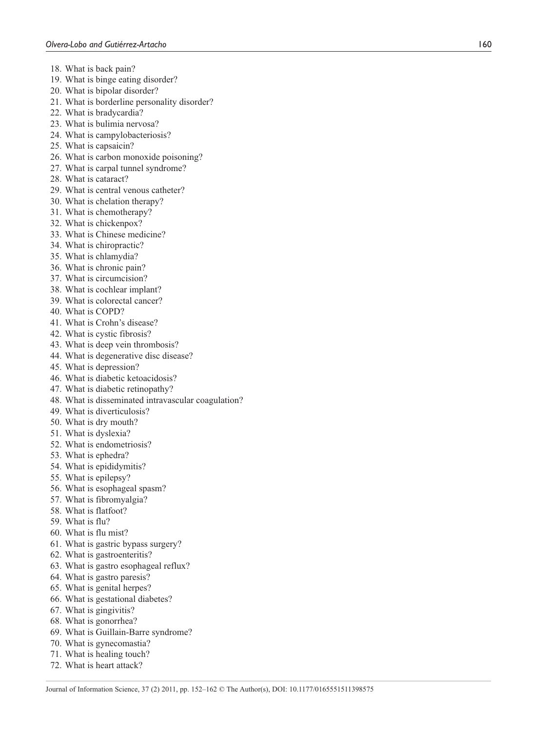- 18. What is back pain?
- 19. What is binge eating disorder?
- 20. What is bipolar disorder?
- 21. What is borderline personality disorder?
- 22. What is bradycardia?
- 23. What is bulimia nervosa?
- 24. What is campylobacteriosis?
- 25. What is capsaicin?
- 26. What is carbon monoxide poisoning?
- 27. What is carpal tunnel syndrome?
- 28. What is cataract?
- 29. What is central venous catheter?
- 30. What is chelation therapy?
- 31. What is chemotherapy?
- 32. What is chickenpox?
- 33. What is Chinese medicine?
- 34. What is chiropractic?
- 35. What is chlamydia?
- 36. What is chronic pain?
- 37. What is circumcision?
- 38. What is cochlear implant?
- 39. What is colorectal cancer?
- 40. What is COPD?
- 41. What is Crohn's disease?
- 42. What is cystic fibrosis?
- 43. What is deep vein thrombosis?
- 44. What is degenerative disc disease?
- 45. What is depression?
- 46. What is diabetic ketoacidosis?
- 47. What is diabetic retinopathy?
- 48. What is disseminated intravascular coagulation?
- 49. What is diverticulosis?
- 50. What is dry mouth?
- 51. What is dyslexia?
- 52. What is endometriosis?
- 53. What is ephedra?
- 54. What is epididymitis?
- 55. What is epilepsy?
- 56. What is esophageal spasm?
- 57. What is fibromyalgia?
- 58. What is flatfoot?
- 59. What is flu?
- 60. What is flu mist?
- 61. What is gastric bypass surgery?
- 62. What is gastroenteritis?
- 63. What is gastro esophageal reflux?
- 64. What is gastro paresis?
- 65. What is genital herpes?
- 66. What is gestational diabetes?
- 67. What is gingivitis?
- 68. What is gonorrhea?
- 69. What is Guillain-Barre syndrome?
- 70. What is gynecomastia?
- 71. What is healing touch?
- 72. What is heart attack?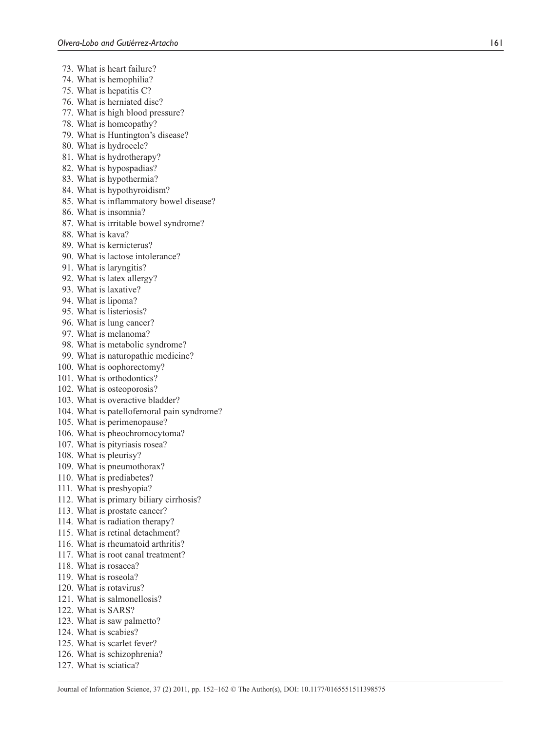- 73. What is heart failure?
- 74. What is hemophilia?
- 75. What is hepatitis C?
- 76. What is herniated disc?
- 77. What is high blood pressure?
- 78. What is homeopathy?
- 79. What is Huntington's disease?
- 80. What is hydrocele?
- 81. What is hydrotherapy?
- 82. What is hypospadias?
- 83. What is hypothermia?
- 84. What is hypothyroidism?
- 85. What is inflammatory bowel disease?
- 86. What is insomnia?
- 87. What is irritable bowel syndrome?
- 88. What is kava?
- 89. What is kernicterus?
- 90. What is lactose intolerance?
- 91. What is laryngitis?
- 92. What is latex allergy?
- 93. What is laxative?
- 94. What is lipoma?
- 95. What is listeriosis?
- 96. What is lung cancer?
- 97. What is melanoma?
- 98. What is metabolic syndrome?
- 99. What is naturopathic medicine?
- 100. What is oophorectomy?
- 101. What is orthodontics?
- 102. What is osteoporosis?
- 103. What is overactive bladder?
- 104. What is patellofemoral pain syndrome?
- 105. What is perimenopause?
- 106. What is pheochromocytoma?
- 107. What is pityriasis rosea?
- 108. What is pleurisy?
- 109. What is pneumothorax?
- 110. What is prediabetes?
- 111. What is presbyopia?
- 112. What is primary biliary cirrhosis?
- 113. What is prostate cancer?
- 114. What is radiation therapy?
- 115. What is retinal detachment?
- 116. What is rheumatoid arthritis?
- 117. What is root canal treatment?
- 118. What is rosacea?
- 119. What is roseola?
- 120. What is rotavirus?
- 121. What is salmonellosis?
- 122. What is SARS?
- 123. What is saw palmetto?
- 124. What is scabies?
- 125. What is scarlet fever?
- 126. What is schizophrenia?
- 127. What is sciatica?